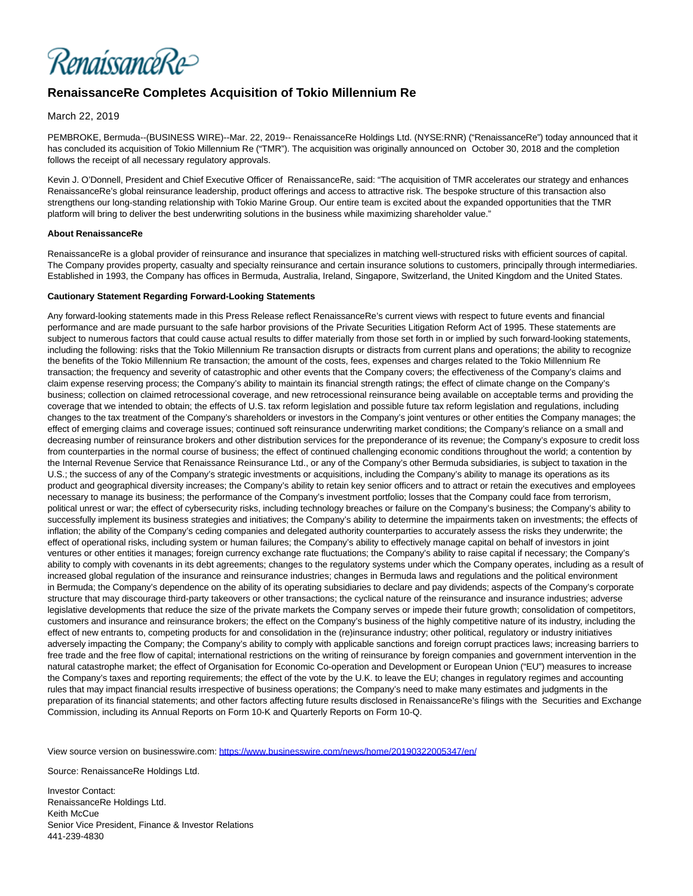RenaissanceRe>

## **RenaissanceRe Completes Acquisition of Tokio Millennium Re**

## March 22, 2019

PEMBROKE, Bermuda--(BUSINESS WIRE)--Mar. 22, 2019-- RenaissanceRe Holdings Ltd. (NYSE:RNR) ("RenaissanceRe") today announced that it has concluded its acquisition of Tokio Millennium Re ("TMR"). The acquisition was originally announced on October 30, 2018 and the completion follows the receipt of all necessary regulatory approvals.

Kevin J. O'Donnell, President and Chief Executive Officer of RenaissanceRe, said: "The acquisition of TMR accelerates our strategy and enhances RenaissanceRe's global reinsurance leadership, product offerings and access to attractive risk. The bespoke structure of this transaction also strengthens our long-standing relationship with Tokio Marine Group. Our entire team is excited about the expanded opportunities that the TMR platform will bring to deliver the best underwriting solutions in the business while maximizing shareholder value."

## **About RenaissanceRe**

RenaissanceRe is a global provider of reinsurance and insurance that specializes in matching well-structured risks with efficient sources of capital. The Company provides property, casualty and specialty reinsurance and certain insurance solutions to customers, principally through intermediaries. Established in 1993, the Company has offices in Bermuda, Australia, Ireland, Singapore, Switzerland, the United Kingdom and the United States.

## **Cautionary Statement Regarding Forward-Looking Statements**

Any forward-looking statements made in this Press Release reflect RenaissanceRe's current views with respect to future events and financial performance and are made pursuant to the safe harbor provisions of the Private Securities Litigation Reform Act of 1995. These statements are subject to numerous factors that could cause actual results to differ materially from those set forth in or implied by such forward-looking statements, including the following: risks that the Tokio Millennium Re transaction disrupts or distracts from current plans and operations; the ability to recognize the benefits of the Tokio Millennium Re transaction; the amount of the costs, fees, expenses and charges related to the Tokio Millennium Re transaction; the frequency and severity of catastrophic and other events that the Company covers; the effectiveness of the Company's claims and claim expense reserving process; the Company's ability to maintain its financial strength ratings; the effect of climate change on the Company's business; collection on claimed retrocessional coverage, and new retrocessional reinsurance being available on acceptable terms and providing the coverage that we intended to obtain; the effects of U.S. tax reform legislation and possible future tax reform legislation and regulations, including changes to the tax treatment of the Company's shareholders or investors in the Company's joint ventures or other entities the Company manages; the effect of emerging claims and coverage issues; continued soft reinsurance underwriting market conditions; the Company's reliance on a small and decreasing number of reinsurance brokers and other distribution services for the preponderance of its revenue; the Company's exposure to credit loss from counterparties in the normal course of business; the effect of continued challenging economic conditions throughout the world; a contention by the Internal Revenue Service that Renaissance Reinsurance Ltd., or any of the Company's other Bermuda subsidiaries, is subject to taxation in the U.S.; the success of any of the Company's strategic investments or acquisitions, including the Company's ability to manage its operations as its product and geographical diversity increases; the Company's ability to retain key senior officers and to attract or retain the executives and employees necessary to manage its business; the performance of the Company's investment portfolio; losses that the Company could face from terrorism, political unrest or war; the effect of cybersecurity risks, including technology breaches or failure on the Company's business; the Company's ability to successfully implement its business strategies and initiatives; the Company's ability to determine the impairments taken on investments; the effects of inflation; the ability of the Company's ceding companies and delegated authority counterparties to accurately assess the risks they underwrite; the effect of operational risks, including system or human failures; the Company's ability to effectively manage capital on behalf of investors in joint ventures or other entities it manages; foreign currency exchange rate fluctuations; the Company's ability to raise capital if necessary; the Company's ability to comply with covenants in its debt agreements; changes to the regulatory systems under which the Company operates, including as a result of increased global regulation of the insurance and reinsurance industries; changes in Bermuda laws and regulations and the political environment in Bermuda; the Company's dependence on the ability of its operating subsidiaries to declare and pay dividends; aspects of the Company's corporate structure that may discourage third-party takeovers or other transactions; the cyclical nature of the reinsurance and insurance industries; adverse legislative developments that reduce the size of the private markets the Company serves or impede their future growth; consolidation of competitors, customers and insurance and reinsurance brokers; the effect on the Company's business of the highly competitive nature of its industry, including the effect of new entrants to, competing products for and consolidation in the (re)insurance industry; other political, regulatory or industry initiatives adversely impacting the Company; the Company's ability to comply with applicable sanctions and foreign corrupt practices laws; increasing barriers to free trade and the free flow of capital; international restrictions on the writing of reinsurance by foreign companies and government intervention in the natural catastrophe market; the effect of Organisation for Economic Co-operation and Development or European Union ("EU") measures to increase the Company's taxes and reporting requirements; the effect of the vote by the U.K. to leave the EU; changes in regulatory regimes and accounting rules that may impact financial results irrespective of business operations; the Company's need to make many estimates and judgments in the preparation of its financial statements; and other factors affecting future results disclosed in RenaissanceRe's filings with the Securities and Exchange Commission, including its Annual Reports on Form 10-K and Quarterly Reports on Form 10-Q.

View source version on businesswire.com:<https://www.businesswire.com/news/home/20190322005347/en/>

Source: RenaissanceRe Holdings Ltd.

Investor Contact: RenaissanceRe Holdings Ltd. Keith McCue Senior Vice President, Finance & Investor Relations 441-239-4830